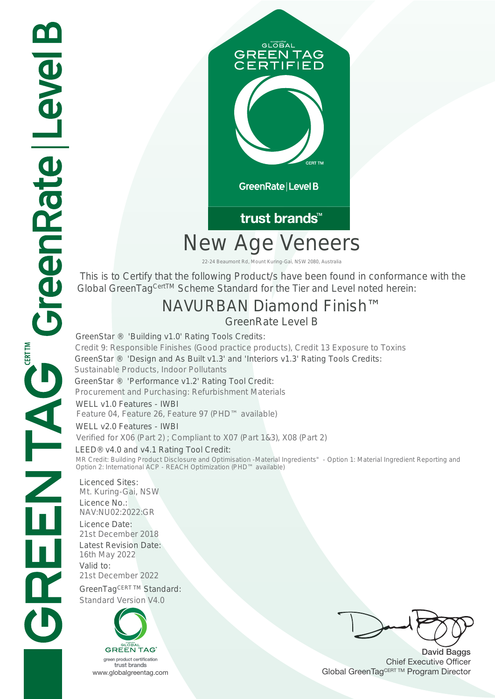

# New Age Veneers

22-24 Beaumont Rd, Mount Kuring-Gai, NSW 2080, Australia

 This is to Certify that the following Product/s have been found in conformance with the Global GreenTag<sup>CertTM</sup> Scheme Standard for the Tier and Level noted herein:

## NAVURBAN Diamond Finish™

GreenRate Level B

GreenStar ® 'Design and As Built v1.3' and 'Interiors v1.3' Rating Tools Credits: Sustainable Products, Indoor Pollutants GreenStar ® 'Performance v1.2' Rating Tool Credit: Procurement and Purchasing: Refurbishment Materials WELL v1.0 Features - IWBI<br>Feature 04, Feature 26, Feature 97 (PHD™ available) WELL v2.0 Features - IWBI Verified for X06 (Part 2) ; Compliant to X07 (Part 1&3), X08 (Part 2) LEED® v4.0 and v4.1 Rating Tool Credit: GreenStar ® 'Building v1.0' Rating Tools Credits:<br>Credit 9: Responsible Finishes (Good practice products), Credit 13 Exposure to Toxins<br>GreenStar ® 'Design and As Built v1.3' and 'Interiors v1.3' Rating Tools Credits:<br>Sus

MR Credit: Building Product Disclosure and Optimisation -Material Ingredients" - Option 1: Material Ingredient Reporting and Option 2: International ACP - REACH Optimization (PHD™ available)

Licenced Sites: Mt. Kuring-Gai, NSW Licence No.: NAV:NU02:2022:GR Licence Date:<br>21st December 2018 Latest Revision Date: 16th May 2022 Valid to: 21st December 2022 GreenTagCERT TM Standard: Standard Version V4.0



David Baggs Chief Executive Officer WWW.globalgreentag.com Web States and Changes and Changes and Changes and Changes and Changes and Changes and Changes and Changes and Changes and Changes and Changes and Changes and Changes and Changes and Changes and Chan